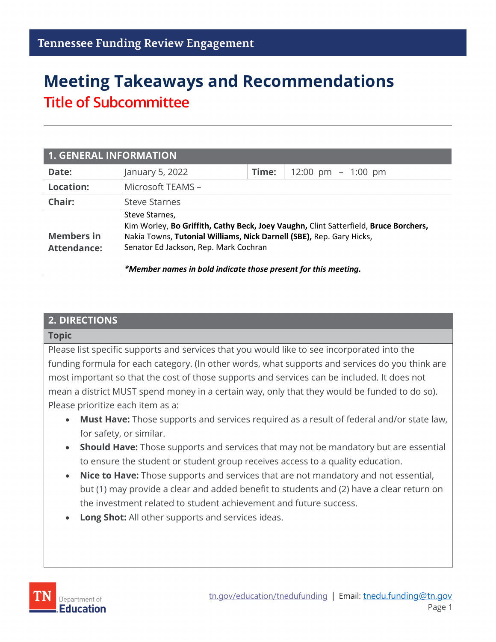# **Meeting Takeaways and Recommendations Title of Subcommittee**

| 1. GENERAL INFORMATION                  |                                                                                                                                                                                                                                                                                           |       |                                        |  |
|-----------------------------------------|-------------------------------------------------------------------------------------------------------------------------------------------------------------------------------------------------------------------------------------------------------------------------------------------|-------|----------------------------------------|--|
| Date:                                   | January 5, 2022                                                                                                                                                                                                                                                                           | Time: | $12:00 \text{ pm } - 1:00 \text{ pm }$ |  |
| <b>Location:</b>                        | Microsoft TEAMS -                                                                                                                                                                                                                                                                         |       |                                        |  |
| Chair:                                  | <b>Steve Starnes</b>                                                                                                                                                                                                                                                                      |       |                                        |  |
| <b>Members in</b><br><b>Attendance:</b> | Steve Starnes,<br>Kim Worley, Bo Griffith, Cathy Beck, Joey Vaughn, Clint Satterfield, Bruce Borchers,<br>Nakia Towns, Tutonial Williams, Nick Darnell (SBE), Rep. Gary Hicks,<br>Senator Ed Jackson, Rep. Mark Cochran<br>*Member names in bold indicate those present for this meeting. |       |                                        |  |

#### **2. DIRECTIONS**

#### **Topic**

Please list specific supports and services that you would like to see incorporated into the funding formula for each category. (In other words, what supports and services do you think are most important so that the cost of those supports and services can be included. It does not mean a district MUST spend money in a certain way, only that they would be funded to do so). Please prioritize each item as a:

- **Must Have:** Those supports and services required as a result of federal and/or state law, for safety, or similar.
- **Should Have:** Those supports and services that may not be mandatory but are essential to ensure the student or student group receives access to a quality education.
- **Nice to Have:** Those supports and services that are not mandatory and not essential, but (1) may provide a clear and added benefit to students and (2) have a clear return on the investment related to student achievement and future success.
- **Long Shot:** All other supports and services ideas.

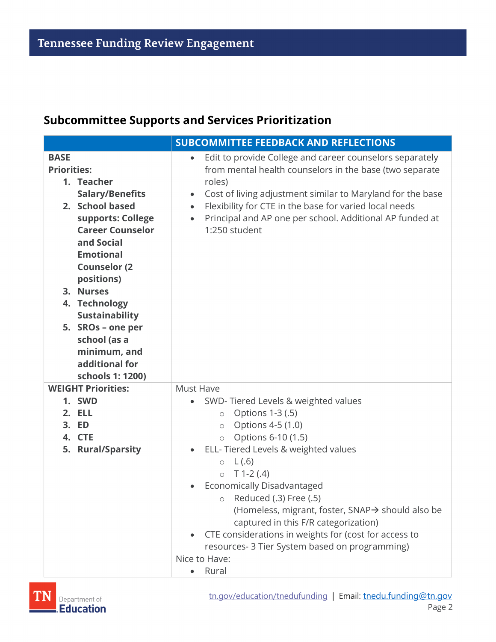### **Subcommittee Supports and Services Prioritization**

| <b>SUBCOMMITTEE FEEDBACK AND REFLECTIONS</b>                                                                                                                                                                                                                                                                                                                           |                                                                                                                                                                                                                                                                                                                                                                                                                                                                                                                                                     |  |
|------------------------------------------------------------------------------------------------------------------------------------------------------------------------------------------------------------------------------------------------------------------------------------------------------------------------------------------------------------------------|-----------------------------------------------------------------------------------------------------------------------------------------------------------------------------------------------------------------------------------------------------------------------------------------------------------------------------------------------------------------------------------------------------------------------------------------------------------------------------------------------------------------------------------------------------|--|
| <b>BASE</b><br><b>Priorities:</b><br>1. Teacher<br><b>Salary/Benefits</b><br>2. School based<br>supports: College<br><b>Career Counselor</b><br>and Social<br><b>Emotional</b><br><b>Counselor (2)</b><br>positions)<br>3. Nurses<br>4. Technology<br><b>Sustainability</b><br>5. SROs - one per<br>school (as a<br>minimum, and<br>additional for<br>schools 1: 1200) | Edit to provide College and career counselors separately<br>$\bullet$<br>from mental health counselors in the base (two separate<br>roles)<br>Cost of living adjustment similar to Maryland for the base<br>$\bullet$<br>Flexibility for CTE in the base for varied local needs<br>$\bullet$<br>Principal and AP one per school. Additional AP funded at<br>$\bullet$<br>1:250 student                                                                                                                                                              |  |
| <b>WEIGHT Priorities:</b><br>1. SWD<br>2. ELL<br>3. ED<br>4. CTE<br>5. Rural/Sparsity                                                                                                                                                                                                                                                                                  | Must Have<br>SWD-Tiered Levels & weighted values<br>Options 1-3 (.5)<br>$\circ$<br>Options 4-5 (1.0)<br>$\circ$<br>Options 6-10 (1.5)<br>$\circlearrowright$<br>ELL-Tiered Levels & weighted values<br>L(.6)<br>$\circ$<br>$T$ 1-2 (.4)<br>$\circ$<br>Economically Disadvantaged<br>$\circ$ Reduced (.3) Free (.5)<br>(Homeless, migrant, foster, SNAP→ should also be<br>captured in this F/R categorization)<br>CTE considerations in weights for (cost for access to<br>resources- 3 Tier System based on programming)<br>Nice to Have:<br>Rural |  |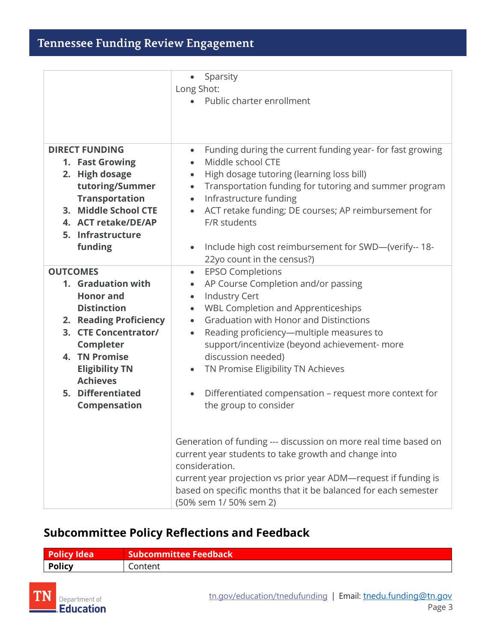|                                               | Sparsity<br>$\bullet$                                                               |
|-----------------------------------------------|-------------------------------------------------------------------------------------|
|                                               | Long Shot:                                                                          |
|                                               | Public charter enrollment<br>$\bullet$                                              |
|                                               |                                                                                     |
|                                               |                                                                                     |
| <b>DIRECT FUNDING</b>                         | Funding during the current funding year- for fast growing<br>$\bullet$              |
| 1. Fast Growing                               | Middle school CTE                                                                   |
| 2. High dosage                                | High dosage tutoring (learning loss bill)<br>$\bullet$                              |
| tutoring/Summer                               | Transportation funding for tutoring and summer program<br>$\bullet$                 |
| <b>Transportation</b><br>3. Middle School CTE | Infrastructure funding<br>$\bullet$                                                 |
|                                               | ACT retake funding; DE courses; AP reimbursement for<br>F/R students                |
| 4. ACT retake/DE/AP<br>5. Infrastructure      |                                                                                     |
| funding                                       |                                                                                     |
|                                               | Include high cost reimbursement for SWD-(verify-- 18-<br>22yo count in the census?) |
| <b>OUTCOMES</b>                               | <b>EPSO Completions</b><br>$\bullet$                                                |
| 1. Graduation with                            | AP Course Completion and/or passing<br>$\bullet$                                    |
| <b>Honor and</b>                              | <b>Industry Cert</b><br>$\bullet$                                                   |
| <b>Distinction</b>                            | <b>WBL Completion and Apprenticeships</b><br>$\bullet$                              |
| 2. Reading Proficiency                        | <b>Graduation with Honor and Distinctions</b><br>$\bullet$                          |
| 3. CTE Concentrator/                          | Reading proficiency-multiple measures to<br>$\bullet$                               |
| Completer                                     | support/incentivize (beyond achievement- more                                       |
| 4. TN Promise                                 | discussion needed)                                                                  |
| <b>Eligibility TN</b>                         | TN Promise Eligibility TN Achieves<br>$\bullet$                                     |
| <b>Achieves</b>                               |                                                                                     |
| 5. Differentiated                             | Differentiated compensation - request more context for<br>$\bullet$                 |
| Compensation                                  | the group to consider                                                               |
|                                               |                                                                                     |
|                                               |                                                                                     |
|                                               | Generation of funding --- discussion on more real time based on                     |
|                                               | current year students to take growth and change into                                |
|                                               | consideration.                                                                      |
|                                               | current year projection vs prior year ADM-request if funding is                     |
|                                               | based on specific months that it be balanced for each semester                      |
|                                               | (50% sem 1/50% sem 2)                                                               |

### **Subcommittee Policy Reflections and Feedback**

| <b>Policy Idea</b> | <b>Subcommittee Feedback</b> |
|--------------------|------------------------------|
| <b>Policy</b>      | Content                      |